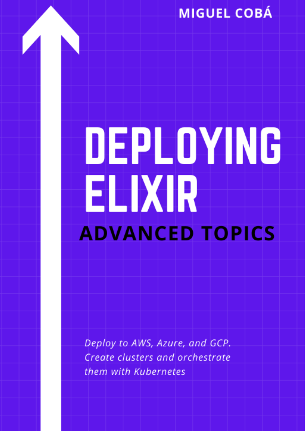# **MIGUEL COBÁ**

# DEPLOYING ELIXIR **ADVANCED TOPICS**

Deploy to AWS, Azure, and GCP. Create clusters and orchestrate them with Kubernetes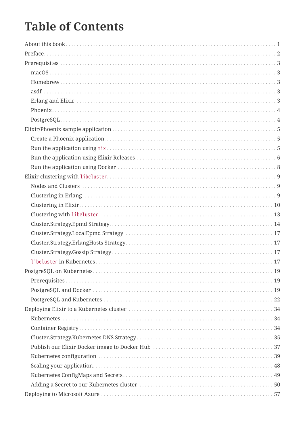## **Table of Contents**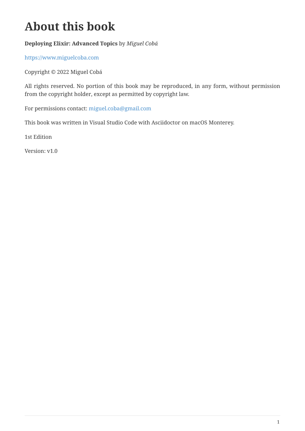## <span id="page-4-0"></span>**About this book**

#### **Deploying Elixir: Advanced Topics** by *Miguel Cobá*

<https://www.miguelcoba.com>

Copyright © 2022 Miguel Cobá

All rights reserved. No portion of this book may be reproduced, in any form, without permission from the copyright holder, except as permitted by copyright law.

For permissions contact: [miguel.coba@gmail.com](mailto:miguel.coba@gmail.com)

This book was written in Visual Studio Code with Asciidoctor on macOS Monterey.

1st Edition

Version: v1.0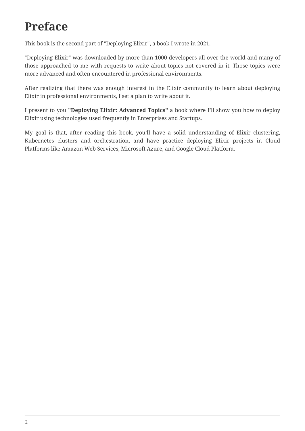# <span id="page-5-0"></span>**Preface**

This book is the second part of "Deploying Elixir", a book I wrote in 2021.

"Deploying Elixir" was downloaded by more than 1000 developers all over the world and many of those approached to me with requests to write about topics not covered in it. Those topics were more advanced and often encountered in professional environments.

After realizing that there was enough interest in the Elixir community to learn about deploying Elixir in professional environments, I set a plan to write about it.

I present to you **"Deploying Elixir: Advanced Topics"** a book where I'll show you how to deploy Elixir using technologies used frequently in Enterprises and Startups.

My goal is that, after reading this book, you'll have a solid understanding of Elixir clustering, Kubernetes clusters and orchestration, and have practice deploying Elixir projects in Cloud Platforms like Amazon Web Services, Microsoft Azure, and Google Cloud Platform.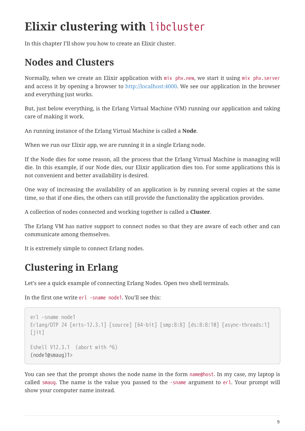## <span id="page-6-0"></span>**Elixir clustering with** libcluster

In this chapter I'll show you how to create an Elixir cluster.

#### <span id="page-6-1"></span>**Nodes and Clusters**

Normally, when we create an Elixir application with mix phx.new, we start it using mix phx.server and access it by opening a browser to <http://localhost:4000>. We see our application in the browser and everything just works.

But, just below everything, is the Erlang Virtual Machine (VM) running our application and taking care of making it work.

An running instance of the Erlang Virtual Machine is called a **Node**.

<span id="page-6-2"></span>When we run our Elixir app, we are running it in a single Erlang node.

If the Node dies for some reason, all the process that the Erlang Virtual Machine is managing will die. In this example, if our Node dies, our Elixir application dies too. For some applications this is not convenient and better availability is desired.

<span id="page-6-3"></span>One way of increasing the availability of an application is by running several copies at the same time, so that if one dies, the others can still provide the functionality the application provides.

A collection of nodes connected and working together is called a **Cluster**.

The Erlang VM has native support to connect nodes so that they are aware of each other and can communicate among themselves.

It is extremely simple to connect Erlang nodes.

## **Clustering in Erlang**

Let's see a quick example of connecting Erlang Nodes. Open two shell terminals.

<span id="page-6-4"></span>In the first one write erl -sname node1. You'll see this:

```
erl -sname node1
Erlang/OTP 24 [erts-12.3.1] [source] [64-bit] [smp:8:8] [ds:8:8:10] [async-threads:1]
[jit]
Eshell V12.3.1 (abort with \sqrt{G})
(node1@smaug)1>
```
You can see that the prompt shows the node name in the form name@host. In my case, my laptop is called smaug. The name is the value you passed to the -sname argument to erl. Your prompt will show your computer name instead.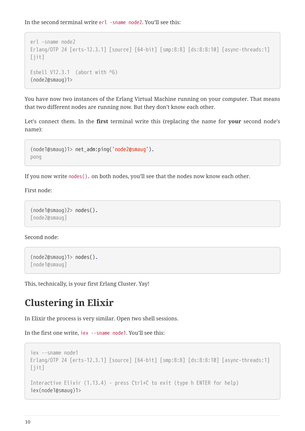<span id="page-7-0"></span>In the second terminal write erl -sname node2. You'll see this:

```
erl -sname node2
Erlang/OTP 24 [erts-12.3.1] [source] [64-bit] [smp:8:8] [ds:8:8:10] [async-threads:1]
[iit]
Eshell V12.3.1 (abort with \sqrt{G})
(node2@smaug)1>
```
<span id="page-7-1"></span>You have now two instances of the Erlang Virtual Machine running on your computer. That means that two different nodes are running now. But they don't know each other.

Let's connect them. In the **first** terminal write this (replacing the name for **your** second node's name):

```
(node1@smaug)1> net_adm:ping('node2@smaug').
pong
```
If you now write nodes(). on both nodes, you'll see that the nodes now know each other.

First node:

```
(node1@smaug)2> nodes().
[node2@smaug]
```
Second node:

```
(node2@smaug)1> nodes().
[node1@smaug]
```
This, technically, is your first Erlang Cluster. Yay!

#### **Clustering in Elixir**

In Elixir the process is very similar. Open two shell sessions.

In the first one write, iex --sname node1. You'll see this:

```
iex --sname node1
Erlang/OTP 24 [erts-12.3.1] [source] [64-bit] [smp:8:8] [ds:8:8:10] [async-threads:1]
[jit]
Interactive Elixir (1.13.4) - press Ctrl+C to exit (type h ENTER for help)
iex(node1@smaug)1>
```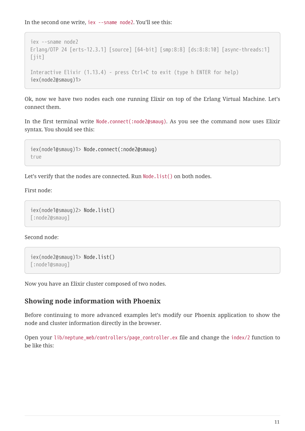<span id="page-8-0"></span>In the second one write, iex --sname node2. You'll see this:

```
iex --sname node2
Erlang/OTP 24 [erts-12.3.1] [source] [64-bit] [smp:8:8] [ds:8:8:10] [async-threads:1]
[iit]
Interactive Elixir (1.13.4) - press Ctrl+C to exit (type h ENTER for help)
iex(node2@smaug)1>
```
<span id="page-8-1"></span>Ok, now we have two nodes each one running Elixir on top of the Erlang Virtual Machine. Let's connect them.

In the first terminal write Node.connect(:node2@smaug). As you see the command now uses Elixir syntax. You should see this:

```
iex(node1@smaug)1> Node.connect(:node2@smaug)
true
```
<span id="page-8-2"></span>Let's verify that the nodes are connected. Run Node.list() on both nodes.

First node:

```
iex(node1@smaug)2> Node.list()
[:node2@smaug]
```
Second node:

```
iex(node2@smaug)1> Node.list()
[:node1@smaug]
```
Now you have an Elixir cluster composed of two nodes.

#### **Showing node information with Phoenix**

Before continuing to more advanced examples let's modify our Phoenix application to show the node and cluster information directly in the browser.

Open your lib/neptune web/controllers/page\_controller.ex file and change the index/2 function to be like this: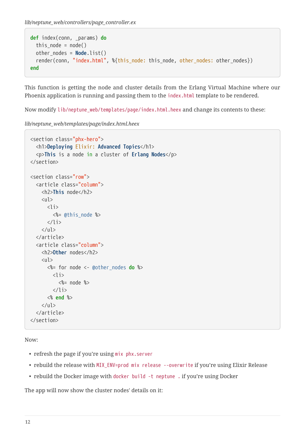*lib/neptune\_web/controllers/page\_controller.ex*

```
def index(conn, _params) do
 this node = node()other_nodes = Node.list()
  render(conn, "index.html", %{this_node: this_node, other_nodes: other_nodes})
end
```
This function is getting the node and cluster details from the Erlang Virtual Machine where our Phoenix application is running and passing them to the index.html template to be rendered.

Now modify lib/neptune\_web/templates/page/index.html.heex and change its contents to these:

*lib/neptune\_web/templates/page/index.html.heex*

```
<section class="phx-hero">
  <h1>Deploying Elixir: Advanced Topics</h1>
  <p>This is a node in a cluster of Erlang Nodes</p>
</section>
<section class="row">
  <article class="column">
     <h2>This node</h2>
     <ul>
       \langleli>
          <%= @this_node %>
        </li>
    \langle/ul>
  </article>
  <article class="column">
     <h2>Other nodes</h2>
    \langle 11 \rangle <%= for node <- @other_nodes do %>
         \langleli\rangle <%= node %>
         \langle/li>
       <% end %>
    \langle/ul\rangle</article>
</section>
```
Now:

- refresh the page if you're using mix phx.server
- rebuild the release with MIX\_ENV=prod mix release --overwrite if you're using Elixir Release
- rebuild the Docker image with docker build -t neptune . if you're using Docker

The app will now show the cluster nodes' details on it: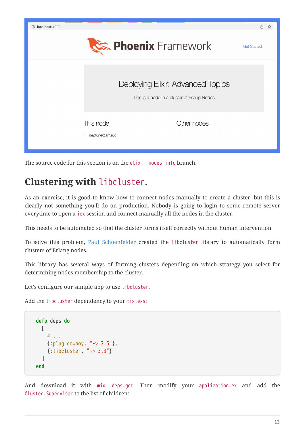

The source code for this section is on the elixir-nodes-info branch.

#### **Clustering with** libcluster**.**

As an exercise, it is good to know how to connect nodes manually to create a cluster, but this is clearly not something you'll do on production. Nobody is going to login to some remote server everytime to open a iex session and connect manually all the nodes in the cluster.

This needs to be automated so that the cluster forms itself correctly without human intervention.

To solve this problem, [Paul Schoenfelder](https://github.com/bitwalker) created the libcluster library to automatically form clusters of Erlang nodes.

This library has several ways of forming clusters depending on which strategy you select for determining nodes membership to the cluster.

Let's configure our sample app to use libcluster.

Add the libcluster dependency to your mix.exs:

```
defp deps do
  \lceil# ...
     {:plug_cowboy, "~> 2.5"},
     {:libcluster, "~> 3.3"}
   ]
end
```
And download it with mix deps.get. Then modify your application.ex and add the Cluster.Supervisor to the list of children: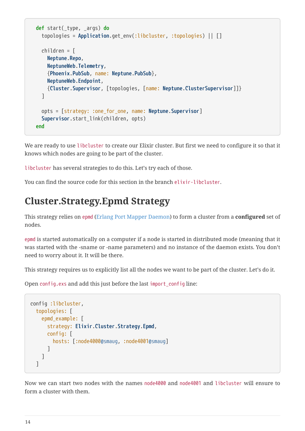```
def start(_type, _args) do
   topologies = Application.get_env(:libcluster, :topologies) || []
   children = [
     Neptune.Repo,
     NeptuneWeb.Telemetry,
     {Phoenix.PubSub, name: Neptune.PubSub},
     NeptuneWeb.Endpoint,
     {Cluster.Supervisor, [topologies, [name: Neptune.ClusterSupervisor]]}
   ]
   opts = [strategy: :one_for_one, name: Neptune.Supervisor]
   Supervisor.start_link(children, opts)
end
```
We are ready to use libcluster to create our Elixir cluster. But first we need to configure it so that it knows which nodes are going to be part of the cluster.

libcluster has several strategies to do this. Let's try each of those.

You can find the source code for this section in the branch elixir-libcluster.

#### **Cluster.Strategy.Epmd Strategy**

This strategy relies on epmd [\(Erlang Port Mapper Daemon](https://www.erlang.org/doc/man/epmd.html)) to form a cluster from a **configured** set of nodes.

epmd is started automatically on a computer if a node is started in distributed mode (meaning that it was started with the -sname or -name parameters) and no instance of the daemon exists. You don't need to worry about it. It will be there.

This strategy requires us to explicitly list all the nodes we want to be part of the cluster. Let's do it.

Open config.exs and add this just before the last import\_config line:

```
config :libcluster,
 topologies: [
     epmd_example: [
       strategy: Elixir.Cluster.Strategy.Epmd,
       config: [
         hosts: [:node4000@smaug, :node4001@smaug]
       ]
     ]
  ]
```
Now we can start two nodes with the names node4000 and node4001 and libcluster will ensure to form a cluster with them.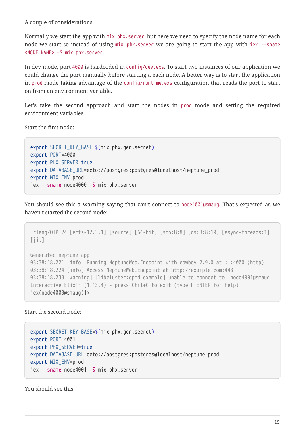<span id="page-12-0"></span>A couple of considerations.

Normally we start the app with mix phx.server, but here we need to specify the node name for each node we start so instead of using mix phx.server we are going to start the app with iex --sname <NODE\_NAME> -S mix phx.server.

<span id="page-12-1"></span>In dev mode, port 4000 is hardcoded in config/dev.exs. To start two instances of our application we could change the port manually before starting a each node. A better way is to start the application in prod mode taking advantage of the config/runtime.exs configuration that reads the port to start on from an environment variable.

Let's take the second approach and start the nodes in prod mode and setting the required environment variables.

Start the first node:

```
export SECRET_KEY_BASE=$(mix phx.gen.secret)
export PORT=4000
export PHX_SERVER=true
export DATABASE_URL=ecto://postgres:postgres@localhost/neptune_prod
export MIX_ENV=prod
iex --sname node4000 -S mix phx.server
```
You should see this a warning saying that can't connect to node4001@smaug. That's expected as we haven't started the second node:

```
Erlang/OTP 24 [erts-12.3.1] [source] [64-bit] [smp:8:8] [ds:8:8:10] [async-threads:1]
[iit]
Generated neptune app
03:38:18.221 [info] Running NeptuneWeb.Endpoint with cowboy 2.9.0 at :::4000 (http)
03:38:18.224 [info] Access NeptuneWeb.Endpoint at http://example.com:443
03:38:18.239 [warning] [libcluster:epmd_example] unable to connect to :node4001@smaug
Interactive Elixir (1.13.4) - press Ctrl+C to exit (type h ENTER for help)
iex(node4000@smaug)1>
```
Start the second node:

```
export SECRET_KEY_BASE=$(mix phx.gen.secret)
export PORT=4001
export PHX_SERVER=true
export DATABASE_URL=ecto://postgres:postgres@localhost/neptune_prod
export MIX_ENV=prod
iex --sname node4001 -S mix phx.server
```
You should see this: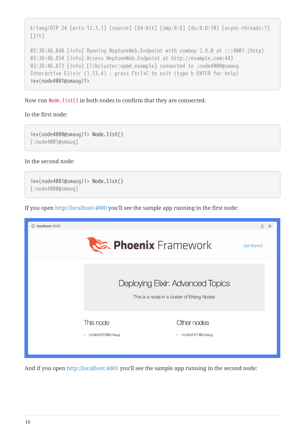```
Erlang/OTP 24 [erts-12.3.1] [source] [64-bit] [smp:8:8] [ds:8:8:10] [async-threads:1]
[jit]
03:38:46.848 [info] Running NeptuneWeb.Endpoint with cowboy 2.9.0 at :::4001 (http)
03:38:46.854 [info] Access NeptuneWeb.Endpoint at http://example.com:443
03:38:46.872 [info] [libcluster:epmd example] connected to :node4000@smaug
Interactive Elixir (1.13.4) - press Ctrl+C to exit (type h ENTER for help)
iex(node4001@smaug)1>
```
Now run Node.list() in both nodes to confirm that they are connected.

#### In the first node:

iex(node4000@smaug)1> Node.list() [:node4001@smaug]

In the second node:

iex(node4001@smaug)1> Node.list() [:node4000@smaug]

If you open <http://localhost:4000> you'll see the sample app running in the first node:



<span id="page-13-0"></span>And if you open<http://localhost:4001> you'll see the sample app running in the second node: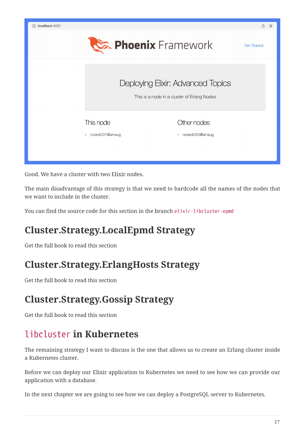

Good. We have a cluster with two Elixir nodes.

The main disadvantage of this strategy is that we need to hardcode all the names of the nodes that we want to include in the cluster.

You can find the source code for this section in the branch elixir-libcluster-epmd

## **Cluster.Strategy.LocalEpmd Strategy**

Get the full book to read this section

#### **Cluster.Strategy.ErlangHosts Strategy**

Get the full book to read this section

#### **Cluster.Strategy.Gossip Strategy**

Get the full book to read this section

## libcluster **in Kubernetes**

The remaining strategy I want to discuss is the one that allows us to create an Erlang cluster inside a Kubernetes cluster.

Before we can deploy our Elixir application to Kubernetes we need to see how we can provide our application with a database.

In the next chapter we are going to see how we can deploy a PostgreSQL server to Kubernetes.